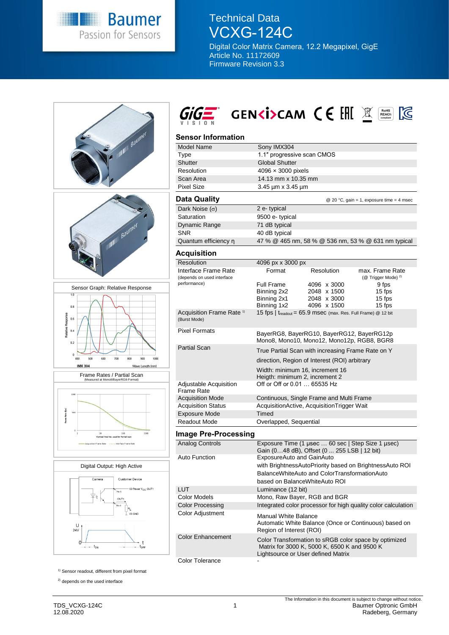

Technical Data VCXG-124C

Digital Color Matrix Camera, 12.2 Megapixel, GigE Article No. 11172609 Firmware Revision 3.3





# SENCIPCAM CE EHE

# **Sensor Information**

| JUISUI IIIUIIIIAUUII                                 |                                                                                                                  |  |  |  |
|------------------------------------------------------|------------------------------------------------------------------------------------------------------------------|--|--|--|
| <b>Model Name</b>                                    | Sony IMX304                                                                                                      |  |  |  |
| Type                                                 | 1.1" progressive scan CMOS                                                                                       |  |  |  |
| Shutter                                              | <b>Global Shutter</b>                                                                                            |  |  |  |
| Resolution                                           | $4096 \times 3000$ pixels                                                                                        |  |  |  |
| Scan Area                                            | 14.13 mm x 10.35 mm                                                                                              |  |  |  |
| <b>Pixel Size</b>                                    | 3.45 µm x 3.45 µm                                                                                                |  |  |  |
|                                                      |                                                                                                                  |  |  |  |
| <b>Data Quality</b>                                  | @ 20 °C, gain = 1, exposure time = 4 msec                                                                        |  |  |  |
| Dark Noise $(\sigma)$                                | 2 e-typical                                                                                                      |  |  |  |
| Saturation                                           | 9500 e- typical                                                                                                  |  |  |  |
| Dynamic Range                                        | 71 dB typical                                                                                                    |  |  |  |
| <b>SNR</b>                                           | 40 dB typical                                                                                                    |  |  |  |
| Quantum efficiency n                                 | 47 % @ 465 nm, 58 % @ 536 nm, 53 % @ 631 nm typical                                                              |  |  |  |
| Acquisition                                          |                                                                                                                  |  |  |  |
| Resolution                                           | 4096 px x 3000 px                                                                                                |  |  |  |
| Interface Frame Rate                                 | Format<br>Resolution<br>max. Frame Rate                                                                          |  |  |  |
| (depends on used interface                           | (@ Trigger Mode) <sup>2)</sup>                                                                                   |  |  |  |
| performance)                                         | Full Frame<br>4096 x 3000<br>9 fps                                                                               |  |  |  |
|                                                      | Binning 2x2<br>2048 x 1500<br>15 fps                                                                             |  |  |  |
|                                                      | Binning 2x1<br>2048 x 3000<br>15 fps                                                                             |  |  |  |
|                                                      | Binning 1x2<br>4096 x 1500<br>15 fps                                                                             |  |  |  |
| Acquisition Frame Rate <sup>1)</sup><br>(Burst Mode) | 15 fps   $t_{\text{readout}}$ = 65.9 msec (max. Res. Full Frame) @ 12 bit                                        |  |  |  |
| <b>Pixel Formats</b>                                 | BayerRG8, BayerRG10, BayerRG12, BayerRG12p<br>Mono8, Mono10, Mono12, Mono12p, RGB8, BGR8                         |  |  |  |
| <b>Partial Scan</b>                                  | True Partial Scan with increasing Frame Rate on Y                                                                |  |  |  |
|                                                      | direction, Region of Interest (ROI) arbitrary                                                                    |  |  |  |
|                                                      | Width: minimum 16, increment 16                                                                                  |  |  |  |
|                                                      | Heigth: minimum 2, increment 2                                                                                   |  |  |  |
| Adjustable Acquisition<br><b>Frame Rate</b>          | Off or Off or 0.01  65535 Hz                                                                                     |  |  |  |
| <b>Acquisition Mode</b>                              | Continuous, Single Frame and Multi Frame                                                                         |  |  |  |
| <b>Acquisition Status</b>                            | AcquisitionActive, AcquisitionTrigger Wait                                                                       |  |  |  |
| Exposure Mode                                        | <b>Timed</b>                                                                                                     |  |  |  |
| Readout Mode                                         | Overlapped, Sequential                                                                                           |  |  |  |
| <b>Image Pre-Processing</b>                          |                                                                                                                  |  |  |  |
| <b>Analog Controls</b>                               | Exposure Time (1 µsec  60 sec   Step Size 1 µsec)<br>Gain (048 dB), Offset (0 255 LSB   12 bit)                  |  |  |  |
| <b>Auto Function</b>                                 | ExposureAuto and GainAuto                                                                                        |  |  |  |
|                                                      | with BrightnessAutoPriority based on BrightnessAuto ROI                                                          |  |  |  |
|                                                      | BalanceWhiteAuto and ColorTransformationAuto                                                                     |  |  |  |
|                                                      | based on BalanceWhiteAuto ROI                                                                                    |  |  |  |
| LUT                                                  | Luminance (12 bit)                                                                                               |  |  |  |
| Color Models                                         |                                                                                                                  |  |  |  |
|                                                      | Mono, Raw Bayer, RGB and BGR                                                                                     |  |  |  |
| <b>Color Processing</b>                              | Integrated color processor for high quality color calculation                                                    |  |  |  |
| Color Adjustment                                     | <b>Manual White Balance</b><br>Automatic White Balance (Once or Continuous) based on<br>Region of Interest (ROI) |  |  |  |
| <b>Color Enhancement</b>                             | Color Transformation to sRGB color space by optimized                                                            |  |  |  |

<sup>1)</sup> Sensor readout, different from pixel format

<sup>2)</sup> depends on the used interface

Matrix for 3000 K, 5000 K, 6500 K and 9500 K

Lightsource or User defined Matrix

Color Tolerance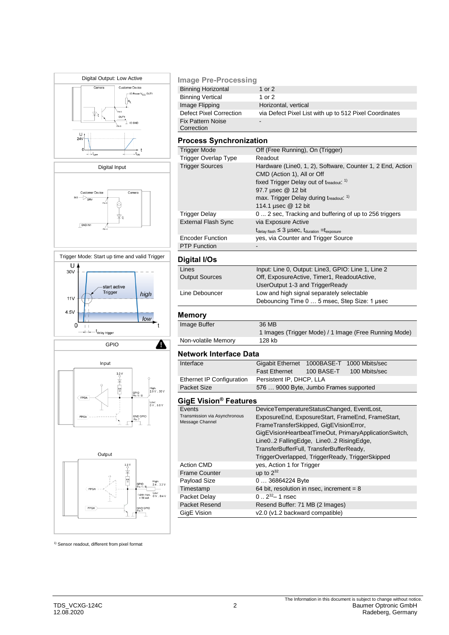







| <b>Image Pre-Processing</b>            |                                                        |
|----------------------------------------|--------------------------------------------------------|
| <b>Binning Horizontal</b>              | 1 or $2$                                               |
| <b>Binning Vertical</b>                | 1 or $2$                                               |
| Image Flipping                         | Horizontal, vertical                                   |
| <b>Defect Pixel Correction</b>         | via Defect Pixel List with up to 512 Pixel Coordinates |
| <b>Fix Pattern Noise</b><br>Correction | $\overline{\phantom{0}}$                               |

# **Process Synchronization**

| Trigger Mode               | Off (Free Running), On (Trigger)                                                  |  |  |
|----------------------------|-----------------------------------------------------------------------------------|--|--|
| Trigger Overlap Type       | Readout                                                                           |  |  |
| <b>Trigger Sources</b>     | Hardware (Line0, 1, 2), Software, Counter 1, 2 End, Action                        |  |  |
|                            | CMD (Action 1), All or Off                                                        |  |  |
|                            | fixed Trigger Delay out of treadout: 1)                                           |  |  |
|                            | 97.7 µsec @ 12 bit                                                                |  |  |
|                            | max. Trigger Delay during treadout. <sup>1)</sup>                                 |  |  |
|                            | 114.1 µsec @ 12 bit                                                               |  |  |
| Trigger Delay              | 0 2 sec, Tracking and buffering of up to 256 triggers                             |  |  |
| <b>External Flash Sync</b> | via Exposure Active                                                               |  |  |
|                            | $t_{\text{delay flash}} \leq 3$ µSeC, $t_{\text{duration}} = t_{\text{exposure}}$ |  |  |
| <b>Encoder Function</b>    | yes, via Counter and Trigger Source                                               |  |  |
| <b>PTP Function</b>        |                                                                                   |  |  |

## **Digital I/Os**

| - - - - - - - - -     |                                                    |
|-----------------------|----------------------------------------------------|
| Lines                 | Input: Line 0, Output: Line3, GPIO: Line 1, Line 2 |
| <b>Output Sources</b> | Off, ExposureActive, Timer1, ReadoutActive,        |
|                       | UserOutput 1-3 and TriggerReady                    |
| Line Debouncer        | Low and high signal separately selectable          |
|                       | Debouncing Time 0  5 msec, Step Size: 1 usec       |
|                       |                                                    |

# **Memory**

| Image Buffer        | 36 MB                                                 |
|---------------------|-------------------------------------------------------|
|                     | 1 Images (Trigger Mode) / 1 Image (Free Running Mode) |
| Non-volatile Memory | 128 kb                                                |
|                     |                                                       |

#### **Network Interface Data**

| Interface                 | Gigabit Ethernet 1000BASE-T 1000 Mbits/sec |            |               |  |
|---------------------------|--------------------------------------------|------------|---------------|--|
|                           | <b>Fast Ethernet</b>                       | 100 BASE-T | 100 Mbits/sec |  |
| Ethernet IP Configuration | Persistent IP, DHCP, LLA                   |            |               |  |
| Packet Size               | 576  9000 Byte, Jumbo Frames supported     |            |               |  |

# **GigE Vision® Features**

| סואָם דוסופוע ∟קוט            |                                                       |  |  |
|-------------------------------|-------------------------------------------------------|--|--|
| Events                        | DeviceTemperatureStatusChanged, EventLost,            |  |  |
| Transmission via Asynchronous | ExposureEnd, ExposureStart, FrameEnd, FrameStart,     |  |  |
| Message Channel               | FrameTransferSkipped, GigEVisionError,                |  |  |
|                               | GigEVisionHeartbeatTimeOut, PrimaryApplicationSwitch, |  |  |
|                               | Line02 FallingEdge, Line02 RisingEdge,                |  |  |
|                               | TransferBufferFull, TransferBufferReady,              |  |  |
|                               | TriggerOverlapped, TriggerReady, TriggerSkipped       |  |  |
| <b>Action CMD</b>             | yes, Action 1 for Trigger                             |  |  |
| <b>Frame Counter</b>          | up to $2^{32}$                                        |  |  |
| Payload Size                  | 0  36864224 Byte                                      |  |  |
| Timestamp                     | 64 bit, resolution in nsec, increment = $8$           |  |  |
| Packet Delay                  | $0.2^{32} - 1$ nsec                                   |  |  |
| Packet Resend                 | Resend Buffer: 71 MB (2 Images)                       |  |  |
| GigE Vision                   | v2.0 (v1.2 backward compatible)                       |  |  |
|                               |                                                       |  |  |

<sup>1)</sup> Sensor readout, different from pixel format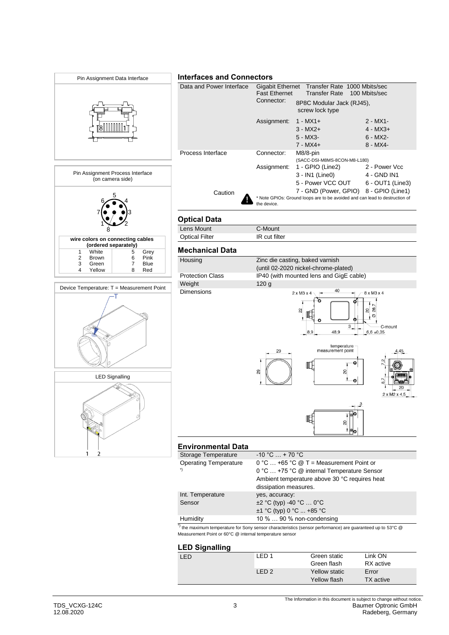

# **LED Signalling**

| LED | FD <sub>1</sub> | Green static  | Link ON   |  |
|-----|-----------------|---------------|-----------|--|
|     |                 | Green flash   | RX active |  |
|     | I FD 2          | Yellow static | Error     |  |
|     |                 | Yellow flash  | TX active |  |
|     |                 |               |           |  |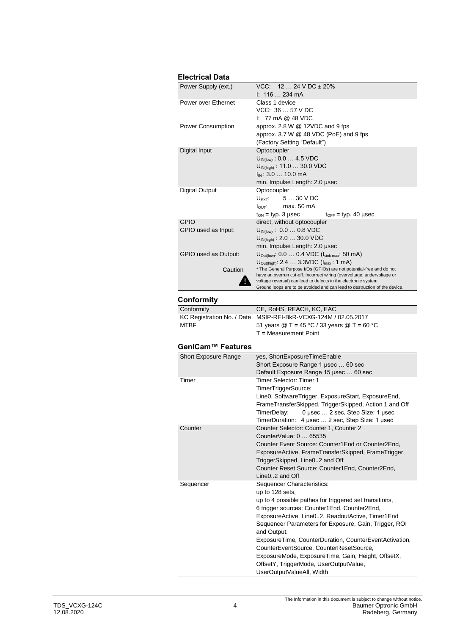# **Electrical Data**

| Electrical Data                                        |                                                                                                                                                         |
|--------------------------------------------------------|---------------------------------------------------------------------------------------------------------------------------------------------------------|
| Power Supply (ext.)                                    | VCC: 12  24 V DC ± 20%                                                                                                                                  |
|                                                        | I: 116  234 mA                                                                                                                                          |
| Power over Ethernet                                    | Class 1 device                                                                                                                                          |
|                                                        | VCC: 36  57 V DC                                                                                                                                        |
|                                                        | $1: 77 \text{ mA} @ 48 \text{ VDC}$                                                                                                                     |
| Power Consumption                                      | approx. 2.8 W @ 12VDC and 9 fps                                                                                                                         |
|                                                        | approx. 3.7 W @ 48 VDC (PoE) and 9 fps                                                                                                                  |
|                                                        | (Factory Setting "Default")                                                                                                                             |
| Digital Input                                          | Optocoupler                                                                                                                                             |
|                                                        | $U_{IN(low)}$ : 0.0  4.5 VDC                                                                                                                            |
|                                                        | U <sub>IN(high)</sub> : 11.0  30.0 VDC                                                                                                                  |
|                                                        | $I_{IN}$ : 3.0  10.0 mA                                                                                                                                 |
|                                                        | min. Impulse Length: 2.0 µsec                                                                                                                           |
| <b>Digital Output</b>                                  | Optocoupler                                                                                                                                             |
|                                                        | $U_{\mathsf{EXT}}$ :<br>530VDC                                                                                                                          |
|                                                        | max. 50 mA<br>$I_{\text{OUT}}$ :                                                                                                                        |
|                                                        |                                                                                                                                                         |
| <b>GPIO</b>                                            | $t_{ON}$ = typ. 3 µsec<br>$t_{\text{OFF}}$ = typ. 40 µsec                                                                                               |
|                                                        | direct, without optocoupler                                                                                                                             |
| GPIO used as Input:                                    | $U_{IN(low)}$ : 0.0  0.8 VDC                                                                                                                            |
|                                                        | $U_{IN(high)}$ : 2.0  30.0 VDC                                                                                                                          |
|                                                        | min. Impulse Length: 2.0 µsec                                                                                                                           |
| GPIO used as Output:                                   | $U_{\text{Out(low)}}$ : 0.0  0.4 VDC ( $I_{\text{sink max}}$ : 50 mA)                                                                                   |
|                                                        | U <sub>Out(high)</sub> : 2.4  3.3VDC (I <sub>max</sub> : 1 mA)                                                                                          |
| Caution                                                | * The General Purpose I/Os (GPIOs) are not potential-free and do not                                                                                    |
|                                                        | have an overrun cut-off. Incorrect wiring (overvoltage, undervoltage or<br>voltage reversal) can lead to defects in the electronic system.              |
|                                                        | Ground loops are to be avoided and can lead to destruction of the device.                                                                               |
|                                                        |                                                                                                                                                         |
| <b>Conformity</b>                                      |                                                                                                                                                         |
| Conformity                                             | CE, RoHS, REACH, KC, EAC                                                                                                                                |
| KC Registration No. / Date                             | MSIP-REI-BkR-VCXG-124M / 02.05.2017                                                                                                                     |
| MTBF                                                   | 51 years $@T = 45 °C / 33$ years $@T = 60 °C$                                                                                                           |
|                                                        | T = Measurement Point                                                                                                                                   |
|                                                        |                                                                                                                                                         |
|                                                        |                                                                                                                                                         |
|                                                        |                                                                                                                                                         |
|                                                        | yes, ShortExposureTimeEnable                                                                                                                            |
|                                                        | Short Exposure Range 1 µsec  60 sec                                                                                                                     |
|                                                        | Default Exposure Range 15 µsec  60 sec                                                                                                                  |
| Timer                                                  | Timer Selector: Timer 1                                                                                                                                 |
|                                                        | TimerTriggerSource:                                                                                                                                     |
|                                                        | Line0, SoftwareTrigger, ExposureStart, ExposureEnd,                                                                                                     |
|                                                        |                                                                                                                                                         |
|                                                        | TimerDelay: 0 usec  2 sec, Step Size: 1 usec                                                                                                            |
|                                                        | TimerDuration: 4 usec  2 sec, Step Size: 1 usec                                                                                                         |
|                                                        | Counter Selector: Counter 1, Counter 2                                                                                                                  |
|                                                        | CounterValue: 0  65535                                                                                                                                  |
|                                                        | Counter Event Source: Counter1End or Counter2End,                                                                                                       |
|                                                        | ExposureActive, FrameTransferSkipped, FrameTrigger,                                                                                                     |
| Counter                                                | TriggerSkipped, Line02 and Off                                                                                                                          |
|                                                        | Counter Reset Source: Counter1End, Counter2End,                                                                                                         |
|                                                        | Line02 and Off                                                                                                                                          |
|                                                        | Sequencer Characteristics:                                                                                                                              |
|                                                        | up to 128 sets,                                                                                                                                         |
|                                                        |                                                                                                                                                         |
|                                                        | FrameTransferSkipped, TriggerSkipped, Action 1 and Off<br>up to 4 possible pathes for triggered set transitions,                                        |
|                                                        | 6 trigger sources: Counter1End, Counter2End,                                                                                                            |
|                                                        | ExposureActive, Line02, ReadoutActive, Timer1End                                                                                                        |
| GenlCam™ Features<br>Short Exposure Range<br>Sequencer | Sequencer Parameters for Exposure, Gain, Trigger, ROI                                                                                                   |
|                                                        | and Output:                                                                                                                                             |
|                                                        |                                                                                                                                                         |
|                                                        | ExposureTime, CounterDuration, CounterEventActivation,<br>CounterEventSource, CounterResetSource,<br>ExposureMode, ExposureTime, Gain, Height, OffsetX, |

OffsetY, TriggerMode, UserOutputValue,

UserOutputValueAll, Width